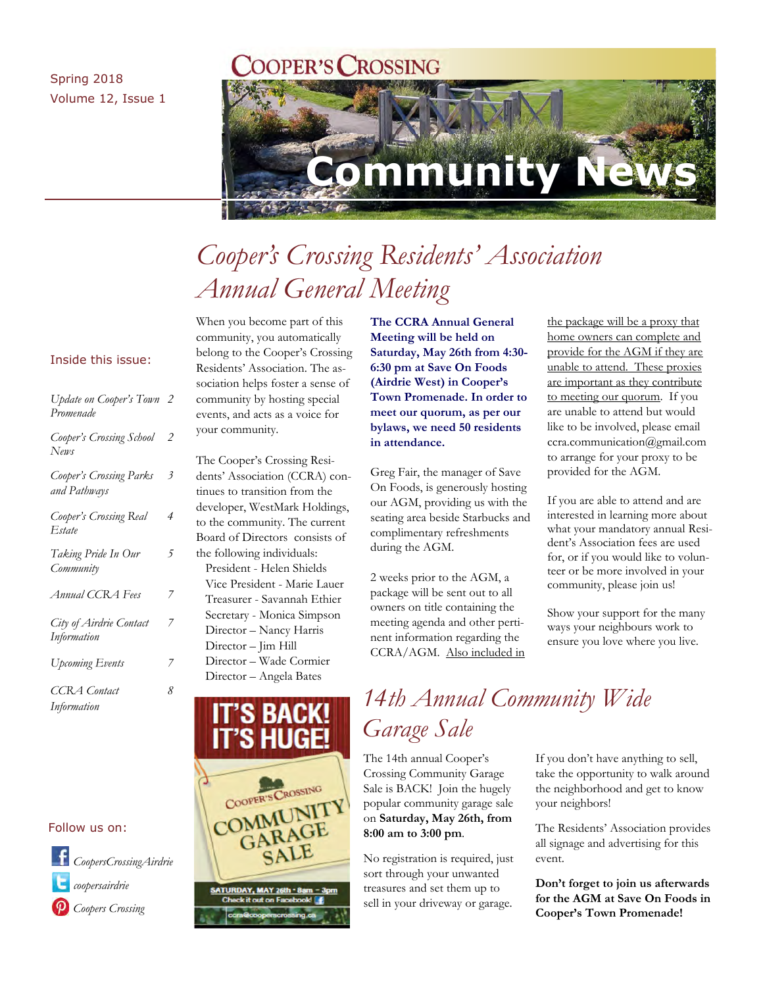### Spring 2018 Volume 12, Issue 1

### **COPER'S CROSSING**



# *Cooper's Crossing Residents' Association Annual General Meeting*

### Inside this issue:

| Update on Cooper's Town 2<br>Promenade  |                |
|-----------------------------------------|----------------|
| Cooper's Crossing School<br>News        | $\overline{2}$ |
| Cooper's Crossing Parks<br>and Pathways | 3              |
| Cooper's Crossing Real<br>Estate        | 4              |
| Taking Pride In Our<br>Community        | 5              |
| Annual CCRA Fees                        | 7              |
| City of Airdrie Contact<br>Information  | 7              |
| Upcoming Events                         | 7              |
| CCRA Contact<br>Information             | 8              |

### Follow us on:

*coopersairdrie CoopersCrossingAirdrie Coopers Crossing*

When you become part of this community, you automatically belong to the Cooper's Crossing Residents' Association. The association helps foster a sense of community by hosting special events, and acts as a voice for your community.

The Cooper's Crossing Residents' Association (CCRA) continues to transition from the developer, WestMark Holdings, to the community. The current Board of Directors consists of the following individuals: President - Helen Shields Vice President - Marie Lauer Treasurer - Savannah Ethier Secretary - Monica Simpson Director – Nancy Harris Director – Jim Hill Director – Wade Cormier Director – Angela Bates



SATURDAY, MAY 26th - 8am ck it out on Facebo

**The CCRA Annual General Meeting will be held on Saturday, May 26th from 4:30- 6:30 pm at Save On Foods (Airdrie West) in Cooper's Town Promenade. In order to meet our quorum, as per our bylaws, we need 50 residents in attendance.** 

Greg Fair, the manager of Save On Foods, is generously hosting our AGM, providing us with the seating area beside Starbucks and complimentary refreshments during the AGM.

2 weeks prior to the AGM, a package will be sent out to all owners on title containing the meeting agenda and other pertinent information regarding the CCRA/AGM. Also included in the package will be a proxy that home owners can complete and provide for the AGM if they are unable to attend. These proxies are important as they contribute to meeting our quorum. If you are unable to attend but would like to be involved, please email ccra.communication@gmail.com to arrange for your proxy to be provided for the AGM.

If you are able to attend and are interested in learning more about what your mandatory annual Resident's Association fees are used for, or if you would like to volunteer or be more involved in your community, please join us!

Show your support for the many ways your neighbours work to ensure you love where you live.

### *14th Annual Community Wide Garage Sale*

The 14th annual Cooper's Crossing Community Garage Sale is BACK! Join the hugely popular community garage sale on **Saturday, May 26th, from 8:00 am to 3:00 pm**.

No registration is required, just sort through your unwanted treasures and set them up to sell in your driveway or garage.

If you don't have anything to sell, take the opportunity to walk around the neighborhood and get to know your neighbors!

The Residents' Association provides all signage and advertising for this event.

**Don't forget to join us afterwards for the AGM at Save On Foods in Cooper's Town Promenade!**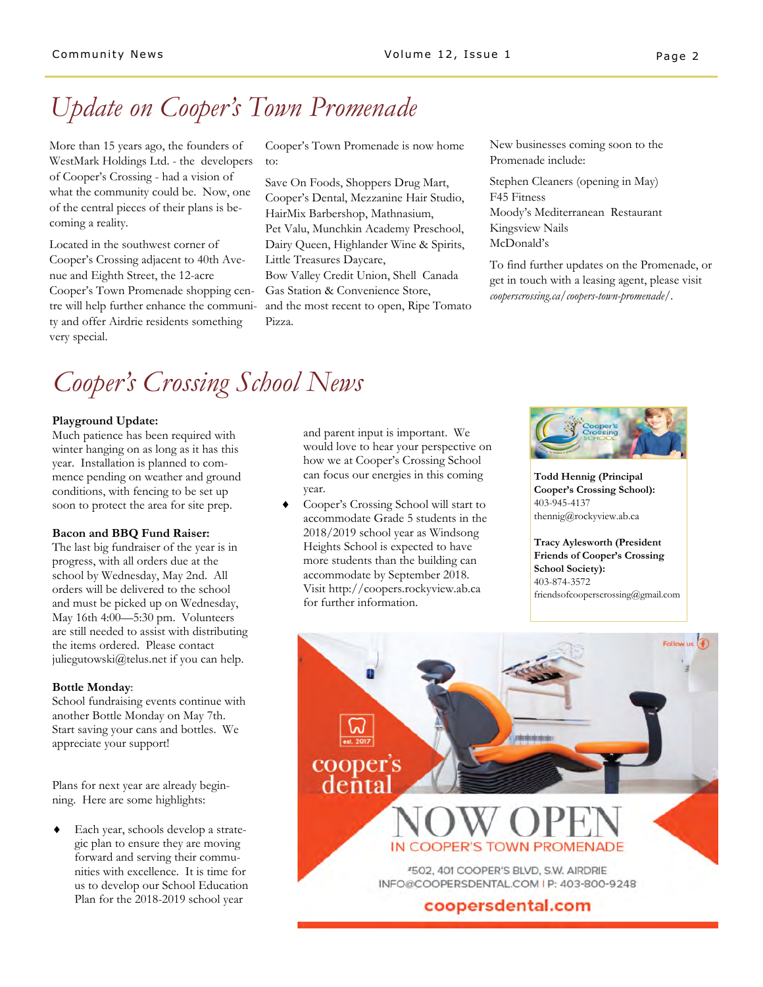# *Update on Cooper's Town Promenade*

More than 15 years ago, the founders of WestMark Holdings Ltd. - the developers of Cooper's Crossing - had a vision of what the community could be. Now, one of the central pieces of their plans is becoming a reality.

Located in the southwest corner of Cooper's Crossing adjacent to 40th Avenue and Eighth Street, the 12-acre Cooper's Town Promenade shopping centre will help further enhance the community and offer Airdrie residents something very special.

Cooper's Town Promenade is now home to:

Save On Foods, Shoppers Drug Mart, Cooper's Dental, Mezzanine Hair Studio, HairMix Barbershop, Mathnasium, Pet Valu, Munchkin Academy Preschool, Dairy Queen, Highlander Wine & Spirits, Little Treasures Daycare, Bow Valley Credit Union, Shell Canada

Gas Station & Convenience Store, and the most recent to open, Ripe Tomato Pizza.

New businesses coming soon to the Promenade include:

Stephen Cleaners (opening in May) F45 Fitness Moody's Mediterranean Restaurant Kingsview Nails McDonald's

To find further updates on the Promenade, or get in touch with a leasing agent, please visit *cooperscrossing.ca/coopers-town-promenade/.*

# *Cooper's Crossing School News*

#### **Playground Update:**

Much patience has been required with winter hanging on as long as it has this year. Installation is planned to commence pending on weather and ground conditions, with fencing to be set up soon to protect the area for site prep.

#### **Bacon and BBQ Fund Raiser:**

The last big fundraiser of the year is in progress, with all orders due at the school by Wednesday, May 2nd. All orders will be delivered to the school and must be picked up on Wednesday, May 16th 4:00—5:30 pm. Volunteers are still needed to assist with distributing the items ordered. Please contact juliegutowski@telus.net if you can help.

#### **Bottle Monday**:

School fundraising events continue with another Bottle Monday on May 7th. Start saving your cans and bottles. We appreciate your support!

Plans for next year are already beginning. Here are some highlights:

 Each year, schools develop a strategic plan to ensure they are moving forward and serving their communities with excellence. It is time for us to develop our School Education Plan for the 2018-2019 school year

and parent input is important. We would love to hear your perspective on how we at Cooper's Crossing School can focus our energies in this coming year.

 Cooper's Crossing School will start to accommodate Grade 5 students in the 2018/2019 school year as Windsong Heights School is expected to have more students than the building can accommodate by September 2018. Visit http://coopers.rockyview.ab.ca for further information.



**Todd Hennig (Principal Cooper's Crossing School):**  403-945-4137 thennig@rockyview.ab.ca

**Tracy Aylesworth (President Friends of Cooper's Crossing School Society):**  403-874-3572 friendsofcooperscrossing@gmail.com

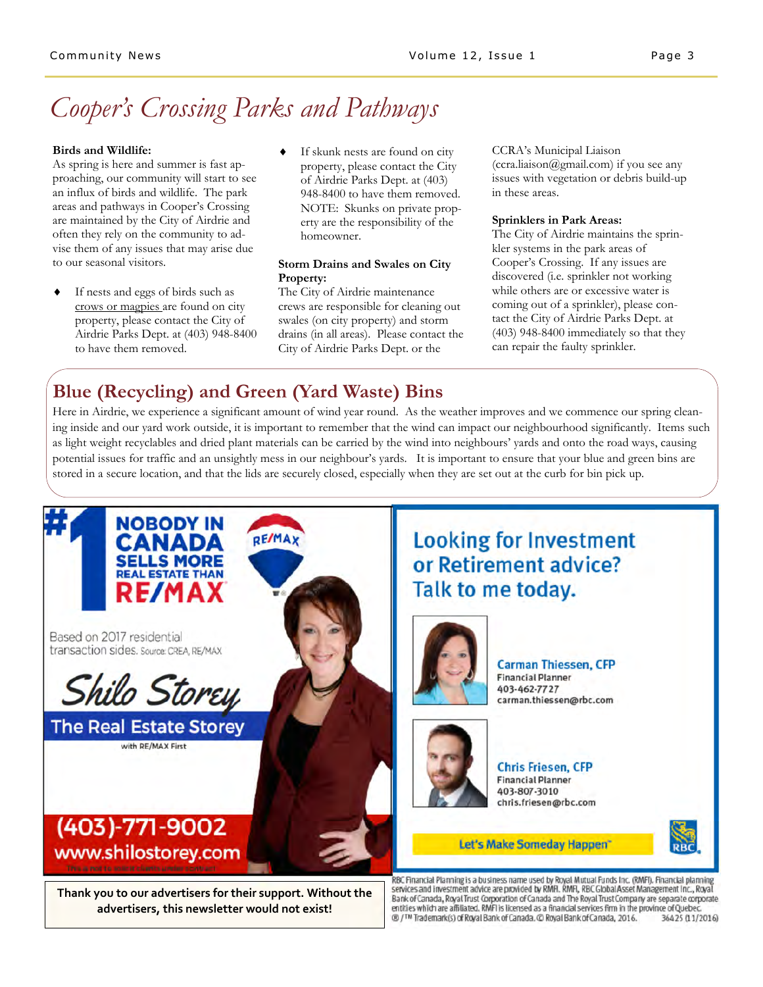# *Cooper's Crossing Parks and Pathways*

#### **Birds and Wildlife:**

As spring is here and summer is fast approaching, our community will start to see an influx of birds and wildlife. The park areas and pathways in Cooper's Crossing are maintained by the City of Airdrie and often they rely on the community to advise them of any issues that may arise due to our seasonal visitors.

- If nests and eggs of birds such as crows or magpies are found on city property, please contact the City of Airdrie Parks Dept. at (403) 948-8400 to have them removed.
- If skunk nests are found on city property, please contact the City of Airdrie Parks Dept. at (403) 948-8400 to have them removed. NOTE: Skunks on private property are the responsibility of the homeowner.

#### **Storm Drains and Swales on City Property:**

The City of Airdrie maintenance crews are responsible for cleaning out swales (on city property) and storm drains (in all areas). Please contact the City of Airdrie Parks Dept. or the

CCRA's Municipal Liaison (ccra.liaison@gmail.com) if you see any issues with vegetation or debris build-up in these areas.

#### **Sprinklers in Park Areas:**

The City of Airdrie maintains the sprinkler systems in the park areas of Cooper's Crossing. If any issues are discovered (i.e. sprinkler not working while others are or excessive water is coming out of a sprinkler), please contact the City of Airdrie Parks Dept. at (403) 948-8400 immediately so that they can repair the faulty sprinkler.

### **Blue (Recycling) and Green (Yard Waste) Bins**

Here in Airdrie, we experience a significant amount of wind year round. As the weather improves and we commence our spring cleaning inside and our yard work outside, it is important to remember that the wind can impact our neighbourhood significantly. Items such as light weight recyclables and dried plant materials can be carried by the wind into neighbours' yards and onto the road ways, causing potential issues for traffic and an unsightly mess in our neighbour's yards. It is important to ensure that your blue and green bins are stored in a secure location, and that the lids are securely closed, especially when they are set out at the curb for bin pick up.

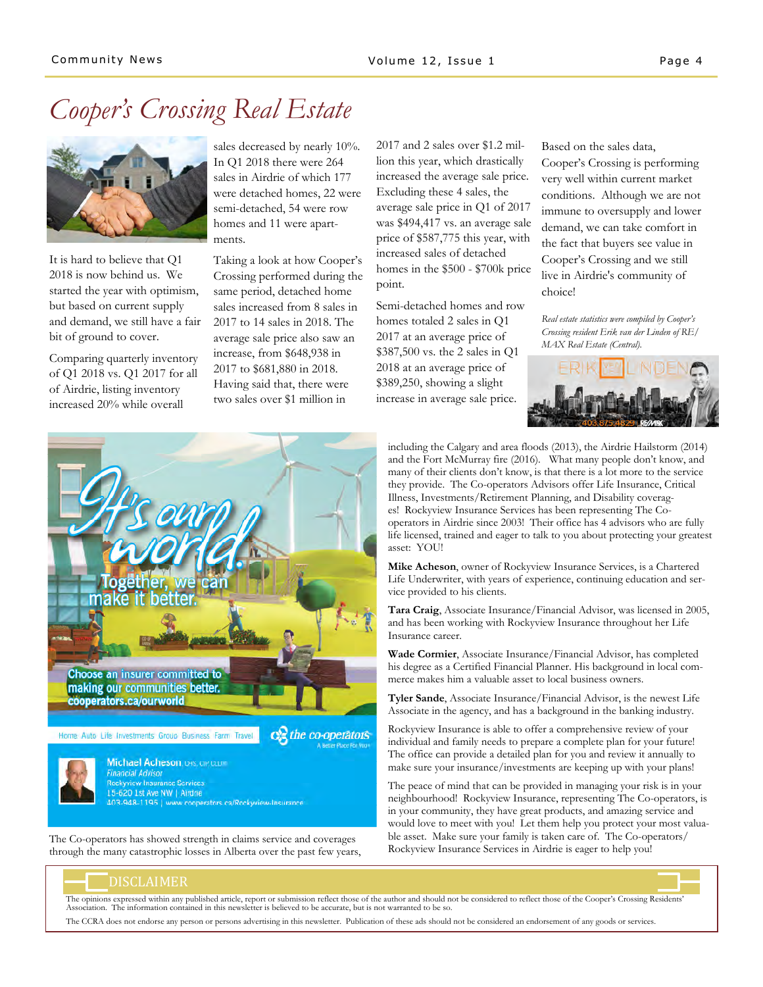# *Cooper's Crossing Real Estate*



It is hard to believe that Q1 2018 is now behind us. We started the year with optimism, but based on current supply and demand, we still have a fair bit of ground to cover.

Comparing quarterly inventory of Q1 2018 vs. Q1 2017 for all of Airdrie, listing inventory increased 20% while overall

sales decreased by nearly 10%. In Q1 2018 there were 264 sales in Airdrie of which 177 were detached homes, 22 were semi-detached, 54 were row homes and 11 were apartments.

Taking a look at how Cooper's Crossing performed during the same period, detached home sales increased from 8 sales in 2017 to 14 sales in 2018. The average sale price also saw an increase, from \$648,938 in 2017 to \$681,880 in 2018. Having said that, there were two sales over \$1 million in

2017 and 2 sales over \$1.2 million this year, which drastically increased the average sale price. Excluding these 4 sales, the average sale price in Q1 of 2017 was \$494,417 vs. an average sale price of \$587,775 this year, with increased sales of detached homes in the \$500 - \$700k price point.

Semi-detached homes and row homes totaled 2 sales in Q1 2017 at an average price of \$387,500 vs. the 2 sales in Q1 2018 at an average price of \$389,250, showing a slight increase in average sale price.

Based on the sales data, Cooper's Crossing is performing very well within current market conditions. Although we are not immune to oversupply and lower demand, we can take comfort in the fact that buyers see value in Cooper's Crossing and we still live in Airdrie's community of choice!

*Real estate statistics were compiled by Cooper's Crossing resident Erik van der Linden of RE/ MAX Real Estate (Central).*



**Choose an insurer committed to** making our communities better. cooperators.ca/ourworld Ce the co-operators Home Auto Life Investments Group Business Farm Travel Michael Acheson, CHS, CIP, CLUM



**Financial Advisor Rockyview Insurance Services** 15-620 1st Ave NW | Airdne 403-948-1195 | www.cooperators.ca/Rockyview-Insurance

The Co-operators has showed strength in claims service and coverages through the many catastrophic losses in Alberta over the past few years,

including the Calgary and area floods (2013), the Airdrie Hailstorm (2014) and the Fort McMurray fire (2016). What many people don't know, and many of their clients don't know, is that there is a lot more to the service they provide. The Co-operators Advisors offer Life Insurance, Critical Illness, Investments/Retirement Planning, and Disability coverages! Rockyview Insurance Services has been representing The Cooperators in Airdrie since 2003! Their office has 4 advisors who are fully life licensed, trained and eager to talk to you about protecting your greatest asset: YOU!

**Mike Acheson**, owner of Rockyview Insurance Services, is a Chartered Life Underwriter, with years of experience, continuing education and service provided to his clients.

**Tara Craig**, Associate Insurance/Financial Advisor, was licensed in 2005, and has been working with Rockyview Insurance throughout her Life Insurance career.

**Wade Cormier**, Associate Insurance/Financial Advisor, has completed his degree as a Certified Financial Planner. His background in local commerce makes him a valuable asset to local business owners.

**Tyler Sande**, Associate Insurance/Financial Advisor, is the newest Life Associate in the agency, and has a background in the banking industry.

Rockyview Insurance is able to offer a comprehensive review of your individual and family needs to prepare a complete plan for your future! The office can provide a detailed plan for you and review it annually to make sure your insurance/investments are keeping up with your plans!

The peace of mind that can be provided in managing your risk is in your neighbourhood! Rockyview Insurance, representing The Co-operators, is in your community, they have great products, and amazing service and would love to meet with you! Let them help you protect your most valuable asset. Make sure your family is taken care of. The Co-operators/ Rockyview Insurance Services in Airdrie is eager to help you!

### DISCLAIMER

The opinions expressed within any published article, report or submission reflect those of the author and should not be considered to reflect those of the Cooper's Crossing Residents'<br>Association. The information contained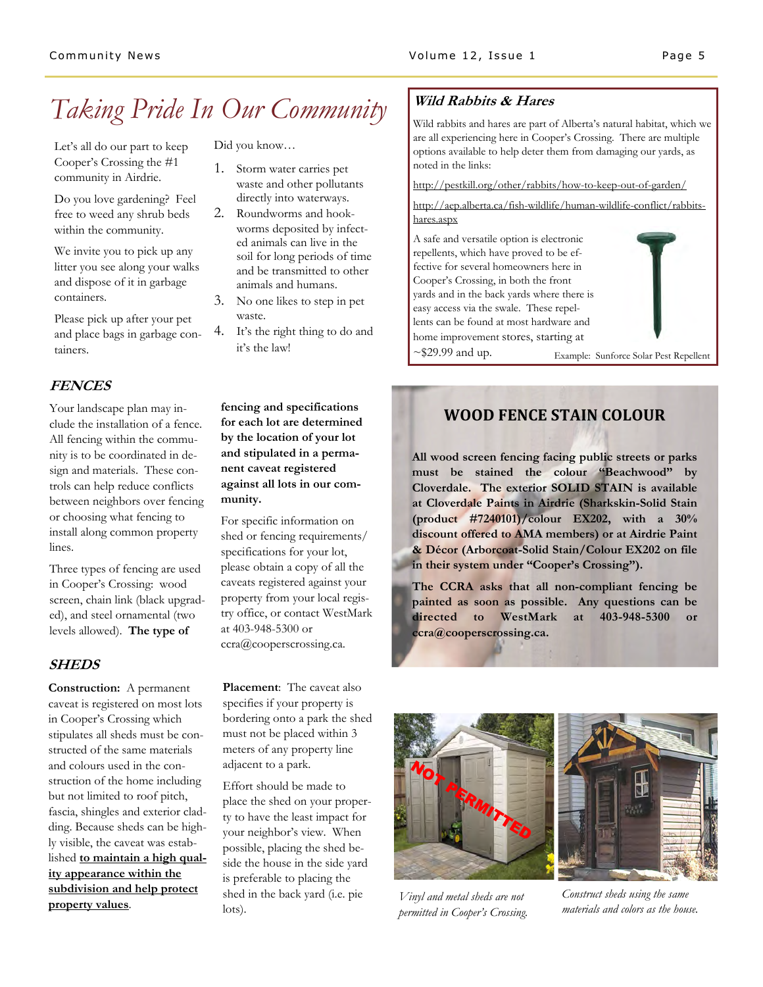## *Taking Pride In Our Community*

Let's all do our part to keep Cooper's Crossing the #1 community in Airdrie.

Do you love gardening? Feel free to weed any shrub beds within the community.

We invite you to pick up any litter you see along your walks and dispose of it in garbage containers.

Please pick up after your pet and place bags in garbage containers.

### **FENCES**

Your landscape plan may include the installation of a fence. All fencing within the community is to be coordinated in design and materials. These controls can help reduce conflicts between neighbors over fencing or choosing what fencing to install along common property lines.

Three types of fencing are used in Cooper's Crossing: wood screen, chain link (black upgraded), and steel ornamental (two levels allowed). **The type of** 

### **SHEDS**

**Construction:** A permanent caveat is registered on most lots in Cooper's Crossing which stipulates all sheds must be constructed of the same materials and colours used in the construction of the home including but not limited to roof pitch, fascia, shingles and exterior cladding. Because sheds can be highly visible, the caveat was established **to maintain a high quality appearance within the subdivision and help protect property values**.

Did you know…

- 1. Storm water carries pet waste and other pollutants directly into waterways.
- 2. Roundworms and hookworms deposited by infected animals can live in the soil for long periods of time and be transmitted to other animals and humans.
- 3. No one likes to step in pet waste.
- 4. It's the right thing to do and it's the law!

**fencing and specifications for each lot are determined by the location of your lot and stipulated in a permanent caveat registered against all lots in our community.** 

For specific information on shed or fencing requirements/ specifications for your lot, please obtain a copy of all the caveats registered against your property from your local registry office, or contact WestMark at 403-948-5300 or ccra@cooperscrossing.ca.

**Placement**: The caveat also specifies if your property is bordering onto a park the shed must not be placed within 3 meters of any property line adjacent to a park.

Effort should be made to place the shed on your property to have the least impact for your neighbor's view. When possible, placing the shed beside the house in the side yard is preferable to placing the shed in the back yard (i.e. pie lots).

### **Wild Rabbits & Hares**

Wild rabbits and hares are part of Alberta's natural habitat, which we are all experiencing here in Cooper's Crossing. There are multiple options available to help deter them from damaging our yards, as noted in the links:

http://pestkill.org/other/rabbits/how-to-keep-out-of-garden/

#### http://aep.alberta.ca/fish-wildlife/human-wildlife-conflict/rabbitshares.aspx



### **WOOD FENCE STAIN COLOUR**

**All wood screen fencing facing public streets or parks must be stained the colour "Beachwood" by Cloverdale. The exterior SOLID STAIN is available at Cloverdale Paints in Airdrie (Sharkskin-Solid Stain (product #7240101)/colour EX202, with a 30% discount offered to AMA members) or at Airdrie Paint & Décor (Arborcoat-Solid Stain/Colour EX202 on file in their system under "Cooper's Crossing").** 

**The CCRA asks that all non-compliant fencing be painted as soon as possible. Any questions can be directed to WestMark at 403-948-5300 or ccra@cooperscrossing.ca.** 





*Vinyl and metal sheds are not permitted in Cooper's Crossing.* 

*Construct sheds using the same materials and colors as the house.*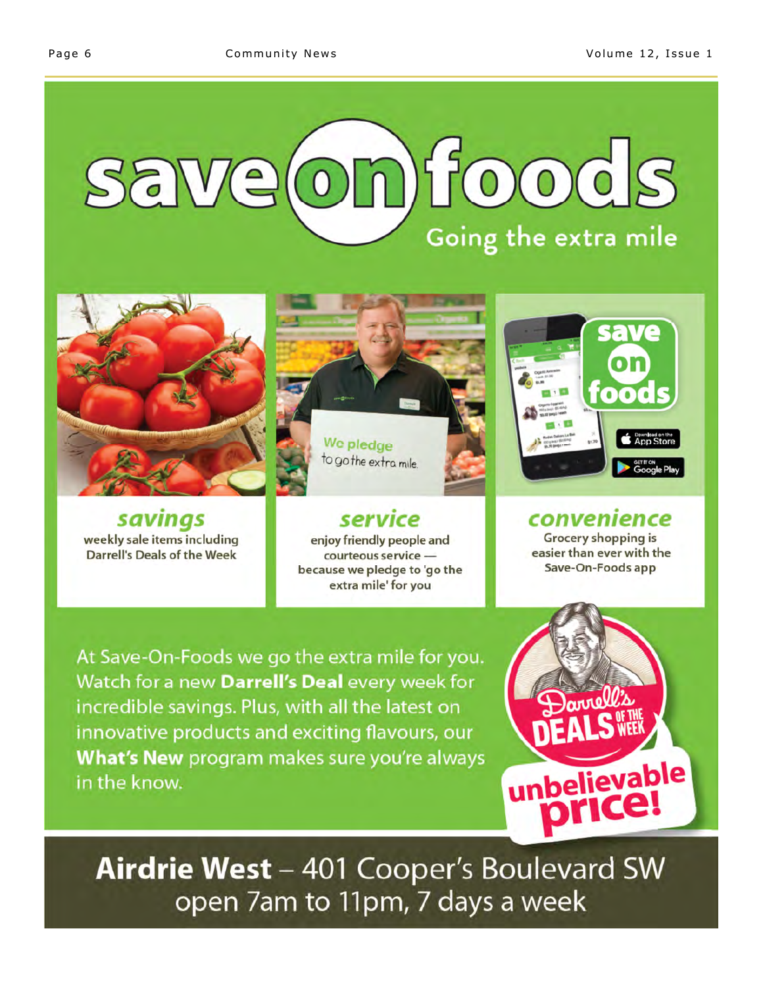# onfoods Salve Going the extra mile



savings weekly sale items including Darrell's Deals of the Week



We pledge to go the extra mile

service enjoy friendly people and courteous service because we pledge to 'go the extra mile' for you

At Save-On-Foods we go the extra mile for you. Watch for a new Darrell's Deal every week for incredible savings. Plus, with all the latest on innovative products and exciting flavours, our What's New program makes sure you're always in the know.



convenience Grocery shopping is easier than ever with the Save-On-Foods app



Airdrie West - 401 Cooper's Boulevard SW open 7am to 11pm, 7 days a week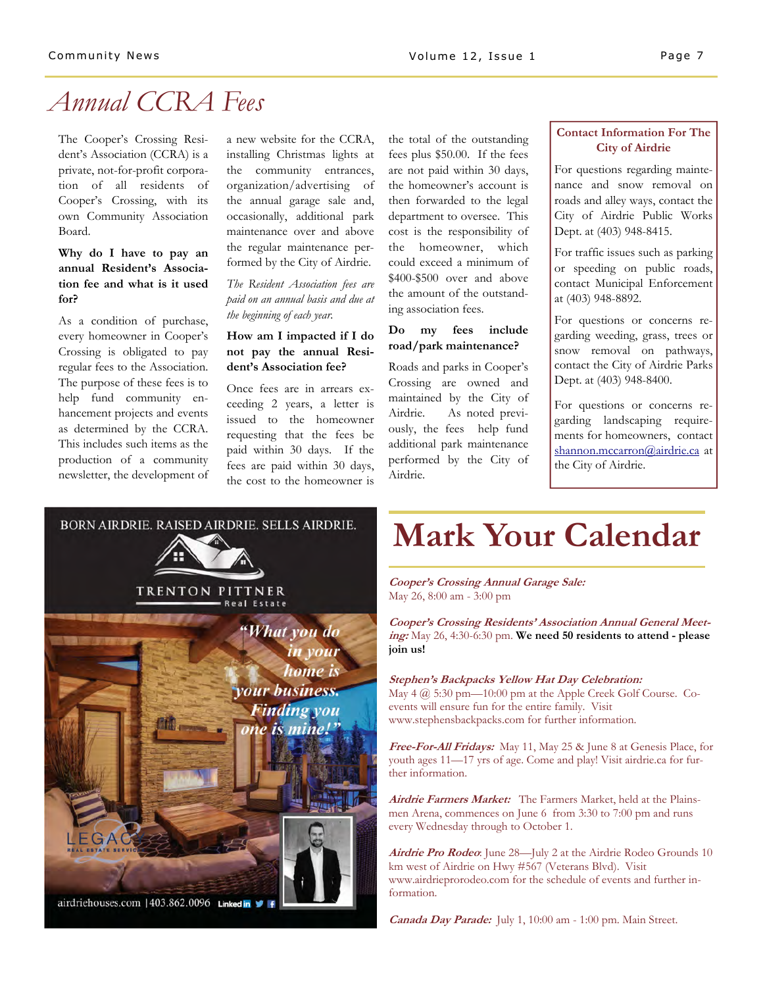### *Annual CCRA Fees*

The Cooper's Crossing Resident's Association (CCRA) is a private, not-for-profit corporation of all residents of Cooper's Crossing, with its own Community Association Board.

### **Why do I have to pay an annual Resident's Association fee and what is it used for?**

As a condition of purchase, every homeowner in Cooper's Crossing is obligated to pay regular fees to the Association. The purpose of these fees is to help fund community enhancement projects and events as determined by the CCRA. This includes such items as the production of a community newsletter, the development of a new website for the CCRA, installing Christmas lights at the community entrances, organization/advertising of the annual garage sale and, occasionally, additional park maintenance over and above the regular maintenance performed by the City of Airdrie.

*The Resident Association fees are paid on an annual basis and due at the beginning of each year.*

### **How am I impacted if I do not pay the annual Resident's Association fee?**

Once fees are in arrears exceeding 2 years, a letter is issued to the homeowner requesting that the fees be paid within 30 days. If the fees are paid within 30 days, the cost to the homeowner is

the total of the outstanding fees plus \$50.00. If the fees are not paid within 30 days, the homeowner's account is then forwarded to the legal department to oversee. This cost is the responsibility of the homeowner, which could exceed a minimum of \$400-\$500 over and above the amount of the outstanding association fees.

### **Do my fees include road/park maintenance?**

Roads and parks in Cooper's Crossing are owned and maintained by the City of Airdrie. As noted previously, the fees help fund additional park maintenance performed by the City of Airdrie.

### **Contact Information For The City of Airdrie**

For questions regarding maintenance and snow removal on roads and alley ways, contact the City of Airdrie Public Works Dept. at (403) 948-8415.

For traffic issues such as parking or speeding on public roads, contact Municipal Enforcement at (403) 948-8892.

For questions or concerns regarding weeding, grass, trees or snow removal on pathways, contact the City of Airdrie Parks Dept. at (403) 948-8400.

For questions or concerns regarding landscaping requirements for homeowners, contact shannon.mccarron@airdrie.ca at the City of Airdrie.



# **Mark Your Calendar**

**Cooper's Crossing Annual Garage Sale:** May 26, 8:00 am - 3:00 pm

**Cooper's Crossing Residents' Association Annual General Meeting:** May 26, 4:30-6:30 pm. **We need 50 residents to attend - please join us!**

#### **Stephen's Backpacks Yellow Hat Day Celebration:**

May 4 @ 5:30 pm—10:00 pm at the Apple Creek Golf Course. Coevents will ensure fun for the entire family. Visit www.stephensbackpacks.com for further information.

**Free-For-All Fridays:** May 11, May 25 & June 8 at Genesis Place, for youth ages 11—17 yrs of age. Come and play! Visit airdrie.ca for further information.

**Airdrie Farmers Market:** The Farmers Market, held at the Plainsmen Arena, commences on June 6 from 3:30 to 7:00 pm and runs every Wednesday through to October 1.

**Airdrie Pro Rodeo**: June 28—July 2 at the Airdrie Rodeo Grounds 10 km west of Airdrie on Hwy #567 (Veterans Blvd). Visit www.airdrieprorodeo.com for the schedule of events and further information.

**Canada Day Parade:** July 1, 10:00 am - 1:00 pm. Main Street.